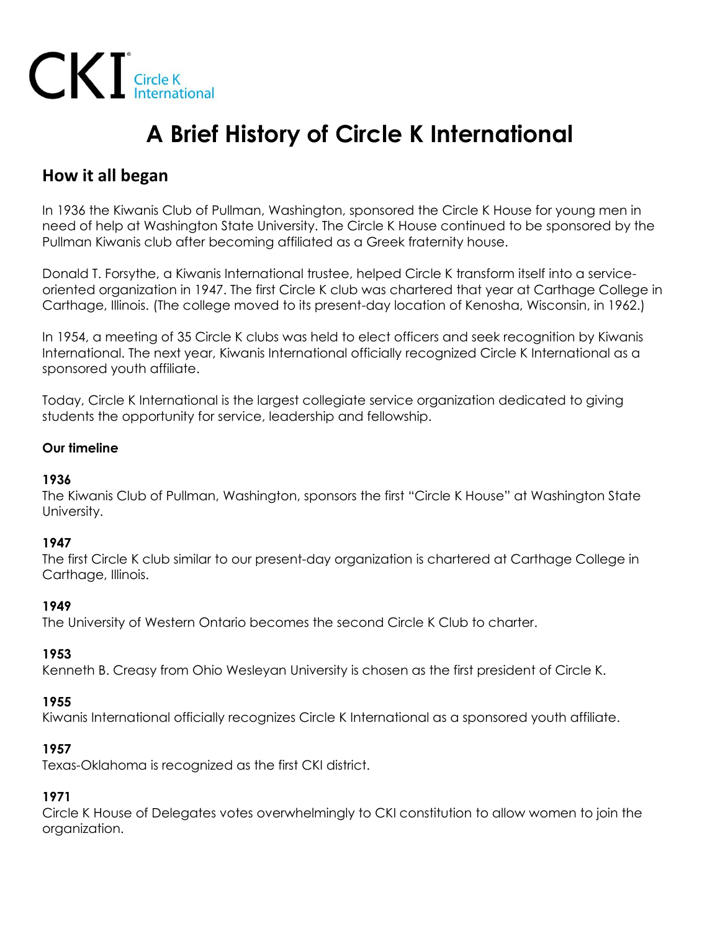

# **A Brief History of Circle K International**

# **How it all began**

In 1936 the Kiwanis Club of Pullman, Washington, sponsored the Circle K House for young men in need of help at Washington State University. The Circle K House continued to be sponsored by the Pullman Kiwanis club after becoming affiliated as a Greek fraternity house.

Donald T. Forsythe, a Kiwanis International trustee, helped Circle K transform itself into a serviceoriented organization in 1947. The first Circle K club was chartered that year at Carthage College in Carthage, Illinois. (The college moved to its present-day location of Kenosha, Wisconsin, in 1962.)

In 1954, a meeting of 35 Circle K clubs was held to elect officers and seek recognition by Kiwanis International. The next year, Kiwanis International officially recognized Circle K International as a sponsored youth affiliate.

Today, Circle K International is the largest collegiate service organization dedicated to giving students the opportunity for service, leadership and fellowship.

## **Our timeline**

#### **1936**

The Kiwanis Club of Pullman, Washington, sponsors the first "Circle K House" at Washington State University.

#### **1947**

The first Circle K club similar to our present-day organization is chartered at Carthage College in Carthage, Illinois.

#### **1949**

The University of Western Ontario becomes the second Circle K Club to charter.

#### **1953**

Kenneth B. Creasy from Ohio Wesleyan University is chosen as the first president of Circle K.

#### **1955**

Kiwanis International officially recognizes Circle K International as a sponsored youth affiliate.

#### **1957**

Texas-Oklahoma is recognized as the first CKI district.

# **1971**

Circle K House of Delegates votes overwhelmingly to CKI constitution to allow women to join the organization.